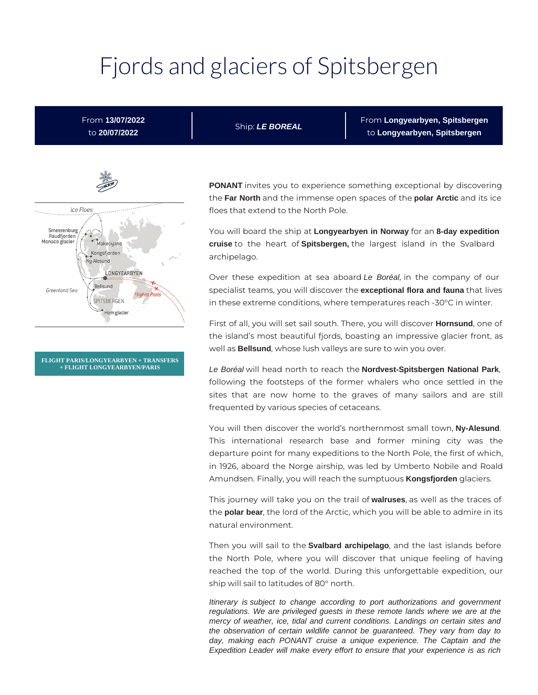# Fjords and glaciers of Spitsbergen

# From **13/07/2022** to **20/07/2022**

Ship: **LE BOREAL**

From **Longyearbyen, Spitsbergen** to **Longyearbyen, Spitsbergen**



**FLIGHT PARIS/LONGYEARBYEN + TRANSFERS + FLIGHT LONGYEARBYEN/PARIS**

**PONANT** invites you to experience something exceptional by discovering the **Far North** and the immense open spaces of the **polar Arctic** and its ice floes that extend to the North Pole.

You will board the ship at **Longyearbyen in Norway** for an **8-day expedition cruise** to the heart of **Spitsbergen,** the largest island in the Svalbard archipelago.

Over these expedition at sea aboard Le Boréal, in the company of our specialist teams, you will discover the **exceptional flora and fauna** that lives in these extreme conditions, where temperatures reach -30°C in winter.

First of all, you will set sail south. There, you will discover **Hornsund**, one of the island's most beautiful fjords, boasting an impressive glacier front, as well as **Bellsund**, whose lush valleys are sure to win you over.

Le Boréal will head north to reach the **Nordvest-Spitsbergen National Park**, following the footsteps of the former whalers who once settled in the sites that are now home to the graves of many sailors and are still frequented by various species of cetaceans.

You will then discover the world's northernmost small town, **Ny-Alesund**. This international research base and former mining city was the departure point for many expeditions to the North Pole, the first of which, in 1926, aboard the Norge airship, was led by Umberto Nobile and Roald Amundsen. Finally, you will reach the sumptuous **Kongsfjorden** glaciers.

This journey will take you on the trail of **walruses**, as well as the traces of the **polar bear**, the lord of the Arctic, which you will be able to admire in its natural environment.

Then you will sail to the **Svalbard archipelago**, and the last islands before the North Pole, where you will discover that unique feeling of having reached the top of the world. During this unforgettable expedition, our ship will sail to latitudes of 80° north.

Itinerary is subject to change according to port authorizations and government regulations. We are privileged guests in these remote lands where we are at the mercy of weather, ice, tidal and current conditions. Landings on certain sites and the observation of certain wildlife cannot be guaranteed. They vary from day to day, making each PONANT cruise a unique experience. The Captain and the Expedition Leader will make every effort to ensure that your experience is as rich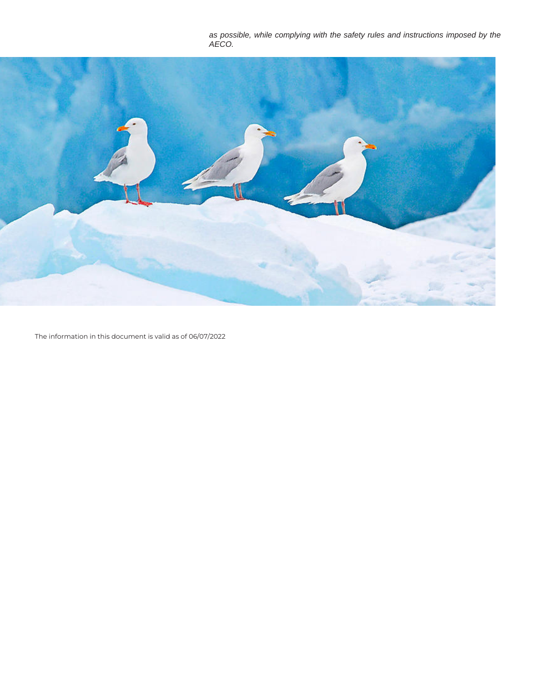as possible, while complying with the safety rules and instructions imposed by the AECO.



The information in this document is valid as of 06/07/2022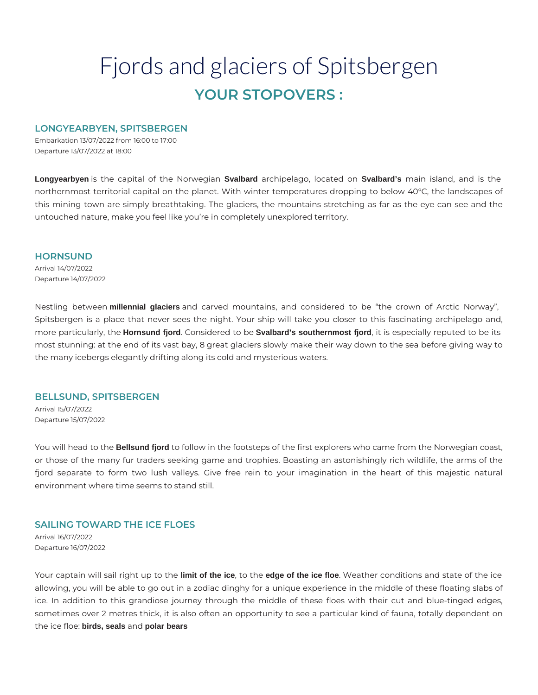# Fjords and glaciers of Spitsbergen **YOUR STOPOVERS :**

# **LONGYEARBYEN, SPITSBERGEN**

Embarkation 13/07/2022 from 16:00 to 17:00 Departure 13/07/2022 at 18:00

**Longyearbyen** is the capital of the Norwegian **Svalbard** archipelago, located on **Svalbard's** main island, and is the northernmost territorial capital on the planet. With winter temperatures dropping to below 40°C, the landscapes of this mining town are simply breathtaking. The glaciers, the mountains stretching as far as the eye can see and the untouched nature, make you feel like you're in completely unexplored territory.

#### **HORNSUND**

Arrival 14/07/2022 Departure 14/07/2022

Nestling between **millennial glaciers** and carved mountains, and considered to be "the crown of Arctic Norway", Spitsbergen is a place that never sees the night. Your ship will take you closer to this fascinating archipelago and, more particularly, the **Hornsund fjord**. Considered to be **Svalbard's southernmost fjord**, it is especially reputed to be its most stunning: at the end of its vast bay, 8 great glaciers slowly make their way down to the sea before giving way to the many icebergs elegantly drifting along its cold and mysterious waters.

#### **BELLSUND, SPITSBERGEN**

Arrival 15/07/2022 Departure 15/07/2022

You will head to the **Bellsund fjord** to follow in the footsteps of the first explorers who came from the Norwegian coast, or those of the many fur traders seeking game and trophies. Boasting an astonishingly rich wildlife, the arms of the fjord separate to form two lush valleys. Give free rein to your imagination in the heart of this majestic natural environment where time seems to stand still.

# **SAILING TOWARD THE ICE FLOES**

Arrival 16/07/2022 Departure 16/07/2022

Your captain will sail right up to the **limit of the ice**, to the **edge of the ice floe**. Weather conditions and state of the ice allowing, you will be able to go out in a zodiac dinghy for a unique experience in the middle of these floating slabs of ice. In addition to this grandiose journey through the middle of these floes with their cut and blue-tinged edges, sometimes over 2 metres thick, it is also often an opportunity to see a particular kind of fauna, totally dependent on the ice floe: **birds, seals** and **polar bears**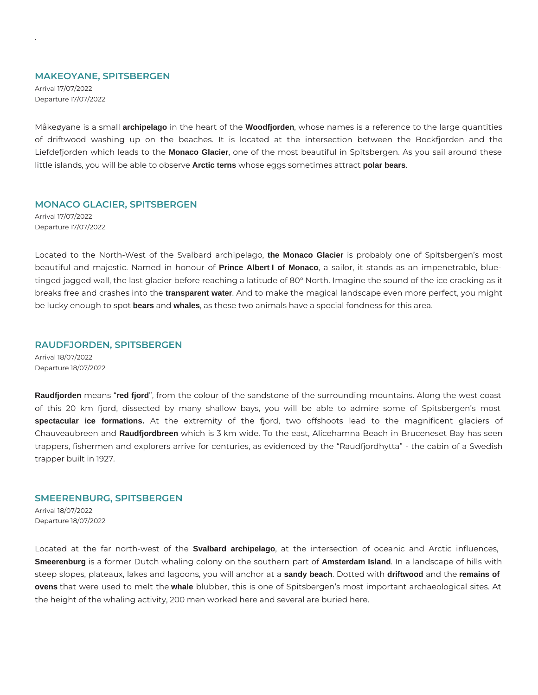#### **MAKEOYANE, SPITSBERGEN**

Arrival 17/07/2022 Departure 17/07/2022

.

Måkeøyane is a small **archipelago** in the heart of the **Woodfjorden**, whose names is a reference to the large quantities of driftwood washing up on the beaches. It is located at the intersection between the Bockfjorden and the Liefdefjorden which leads to the **Monaco Glacier**, one of the most beautiful in Spitsbergen. As you sail around these little islands, you will be able to observe **Arctic terns** whose eggs sometimes attract **polar bears**.

# **MONACO GLACIER, SPITSBERGEN**

Arrival 17/07/2022 Departure 17/07/2022

Located to the North-West of the Svalbard archipelago, **the Monaco Glacier** is probably one of Spitsbergen's most beautiful and majestic. Named in honour of **Prince Albert I of Monaco**, a sailor, it stands as an impenetrable, bluetinged jagged wall, the last glacier before reaching a latitude of 80° North. Imagine the sound of the ice cracking as it breaks free and crashes into the **transparent water**. And to make the magical landscape even more perfect, you might be lucky enough to spot **bears** and **whales**, as these two animals have a special fondness for this area.

# **RAUDFJORDEN, SPITSBERGEN**

Arrival 18/07/2022 Departure 18/07/2022

**Raudfjorden** means "**red fjord**", from the colour of the sandstone of the surrounding mountains. Along the west coast of this 20 km fjord, dissected by many shallow bays, you will be able to admire some of Spitsbergen's most **spectacular ice formations.** At the extremity of the fjord, two offshoots lead to the magnificent glaciers of Chauveaubreen and **Raudfjordbreen** which is 3 km wide. To the east, Alicehamna Beach in Bruceneset Bay has seen trappers, fishermen and explorers arrive for centuries, as evidenced by the "Raudfjordhytta" - the cabin of a Swedish trapper built in 1927.

#### **SMEERENBURG, SPITSBERGEN**

Arrival 18/07/2022 Departure 18/07/2022

Located at the far north-west of the **Svalbard archipelago**, at the intersection of oceanic and Arctic influences, **Smeerenburg** is a former Dutch whaling colony on the southern part of **Amsterdam Island**. In a landscape of hills with steep slopes, plateaux, lakes and lagoons, you will anchor at a **sandy beach**. Dotted with **driftwood** and the **remains of ovens** that were used to melt the **whale** blubber, this is one of Spitsbergen's most important archaeological sites. At the height of the whaling activity, 200 men worked here and several are buried here.